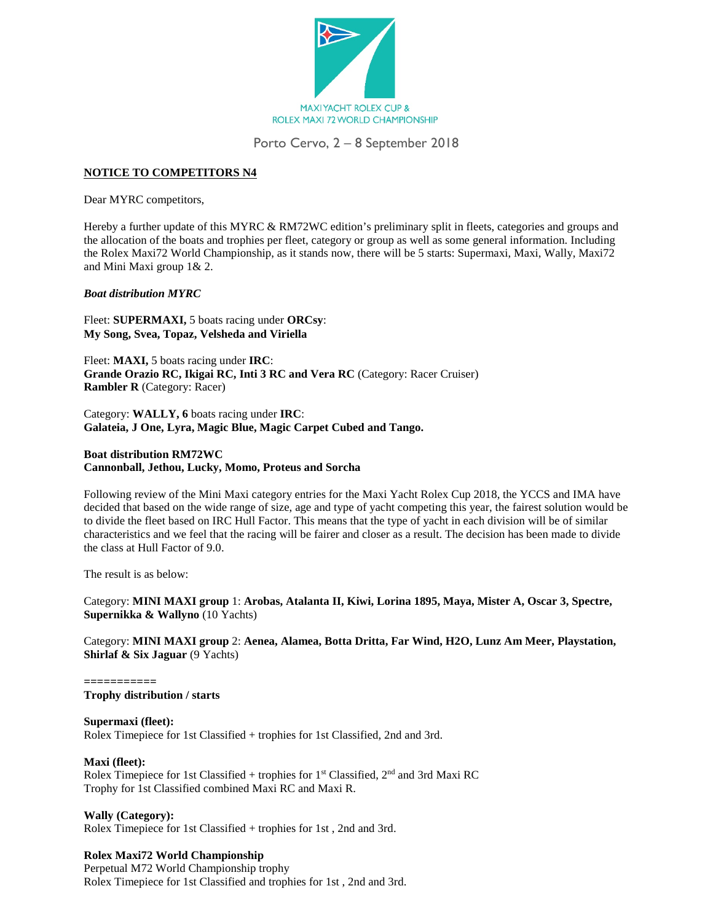

Porto Cervo, 2 – 8 September 2018

# **NOTICE TO COMPETITORS N4**

Dear MYRC competitors,

Hereby a further update of this MYRC & RM72WC edition's preliminary split in fleets, categories and groups and the allocation of the boats and trophies per fleet, category or group as well as some general information. Including the Rolex Maxi72 World Championship, as it stands now, there will be 5 starts: Supermaxi, Maxi, Wally, Maxi72 and Mini Maxi group 1& 2.

### *Boat distribution MYRC*

Fleet: **SUPERMAXI,** 5 boats racing under **ORCsy**: **My Song, Svea, Topaz, Velsheda and Viriella**

Fleet: **MAXI,** 5 boats racing under **IRC**: **Grande Orazio RC, Ikigai RC, Inti 3 RC and Vera RC** (Category: Racer Cruiser) **Rambler R** (Category: Racer)

Category: **WALLY, 6** boats racing under **IRC**: **Galateia, J One, Lyra, Magic Blue, Magic Carpet Cubed and Tango.**

## **Boat distribution RM72WC Cannonball, Jethou, Lucky, Momo, Proteus and Sorcha**

Following review of the Mini Maxi category entries for the Maxi Yacht Rolex Cup 2018, the YCCS and IMA have decided that based on the wide range of size, age and type of yacht competing this year, the fairest solution would be to divide the fleet based on IRC Hull Factor. This means that the type of yacht in each division will be of similar characteristics and we feel that the racing will be fairer and closer as a result. The decision has been made to divide the class at Hull Factor of 9.0.

The result is as below:

Category: **MINI MAXI group** 1: **Arobas, Atalanta II, Kiwi, Lorina 1895, Maya, Mister A, Oscar 3, Spectre, Supernikka & Wallyno** (10 Yachts)

Category: **MINI MAXI group** 2: **Aenea, Alamea, Botta Dritta, Far Wind, H2O, Lunz Am Meer, Playstation, Shirlaf & Six Jaguar** (9 Yachts)

**===========**

**Trophy distribution / starts**

#### **Supermaxi (fleet):**

Rolex Timepiece for 1st Classified + trophies for 1st Classified, 2nd and 3rd.

#### **Maxi (fleet):**

Rolex Timepiece for 1st Classified + trophies for  $1<sup>st</sup>$  Classified,  $2<sup>nd</sup>$  and 3rd Maxi RC Trophy for 1st Classified combined Maxi RC and Maxi R.

**Wally (Category):**

Rolex Timepiece for 1st Classified + trophies for 1st , 2nd and 3rd.

## **Rolex Maxi72 World Championship**

Perpetual M72 World Championship trophy Rolex Timepiece for 1st Classified and trophies for 1st , 2nd and 3rd.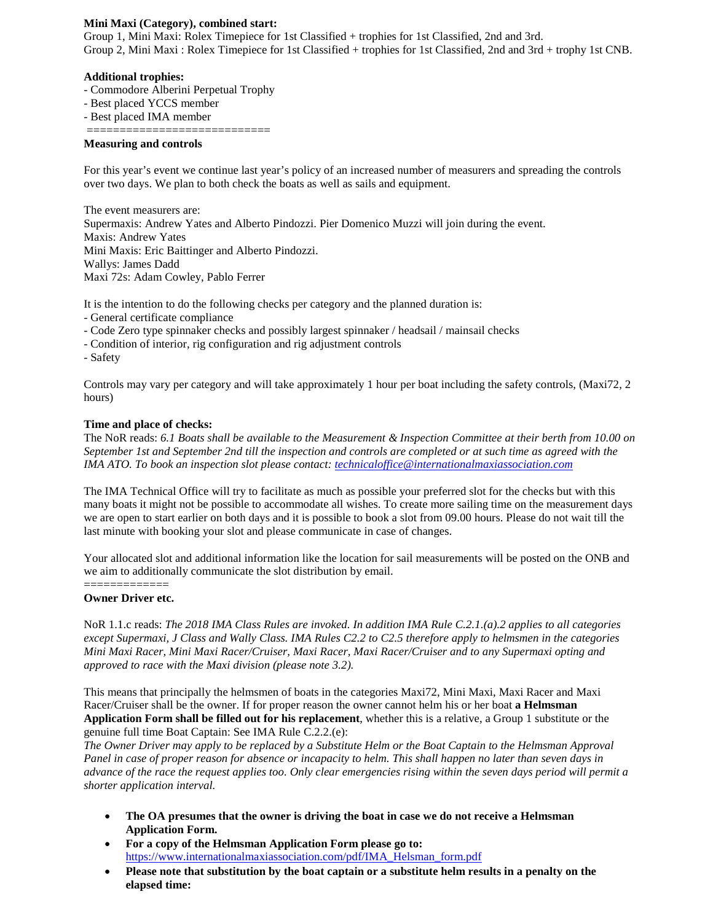### **Mini Maxi (Category), combined start:**

Group 1, Mini Maxi: Rolex Timepiece for 1st Classified + trophies for 1st Classified, 2nd and 3rd. Group 2, Mini Maxi : Rolex Timepiece for 1st Classified + trophies for 1st Classified, 2nd and 3rd + trophy 1st CNB.

### **Additional trophies:**

- Commodore Alberini Perpetual Trophy
- Best placed YCCS member
- Best placed IMA member

## **Measuring and controls**

For this year's event we continue last year's policy of an increased number of measurers and spreading the controls over two days. We plan to both check the boats as well as sails and equipment.

The event measurers are: Supermaxis: Andrew Yates and Alberto Pindozzi. Pier Domenico Muzzi will join during the event. Maxis: Andrew Yates Mini Maxis: Eric Baittinger and Alberto Pindozzi. Wallys: James Dadd Maxi 72s: Adam Cowley, Pablo Ferrer

It is the intention to do the following checks per category and the planned duration is:

- General certificate compliance
- Code Zero type spinnaker checks and possibly largest spinnaker / headsail / mainsail checks
- Condition of interior, rig configuration and rig adjustment controls

============================

- Safety

Controls may vary per category and will take approximately 1 hour per boat including the safety controls, (Maxi72, 2 hours)

#### **Time and place of checks:**

The NoR reads: *6.1 Boats shall be available to the Measurement & Inspection Committee at their berth from 10.00 on September 1st and September 2nd till the inspection and controls are completed or at such time as agreed with the IMA ATO. To book an inspection slot please contact: technicaloffice@internationalmaxiassociation.com*

The IMA Technical Office will try to facilitate as much as possible your preferred slot for the checks but with this many boats it might not be possible to accommodate all wishes. To create more sailing time on the measurement days we are open to start earlier on both days and it is possible to book a slot from 09.00 hours. Please do not wait till the last minute with booking your slot and please communicate in case of changes.

Your allocated slot and additional information like the location for sail measurements will be posted on the ONB and we aim to additionally communicate the slot distribution by email.

#### **Owner Driver etc.**

=============

NoR 1.1.c reads: *The 2018 IMA Class Rules are invoked. In addition IMA Rule C.2.1.(a).2 applies to all categories except Supermaxi, J Class and Wally Class. IMA Rules C2.2 to C2.5 therefore apply to helmsmen in the categories Mini Maxi Racer, Mini Maxi Racer/Cruiser, Maxi Racer, Maxi Racer/Cruiser and to any Supermaxi opting and approved to race with the Maxi division (please note 3.2).* 

This means that principally the helmsmen of boats in the categories Maxi72, Mini Maxi, Maxi Racer and Maxi Racer/Cruiser shall be the owner. If for proper reason the owner cannot helm his or her boat **a Helmsman Application Form shall be filled out for his replacement**, whether this is a relative, a Group 1 substitute or the genuine full time Boat Captain: See IMA Rule C.2.2.(e):

*The Owner Driver may apply to be replaced by a Substitute Helm or the Boat Captain to the Helmsman Approval Panel in case of proper reason for absence or incapacity to helm. This shall happen no later than seven days in advance of the race the request applies too. Only clear emergencies rising within the seven days period will permit a shorter application interval.* 

- **The OA presumes that the owner is driving the boat in case we do not receive a Helmsman Application Form.**
- **For a copy of the Helmsman Application Form please go to:**  [https://www.internationalmaxiassociation.com/pdf/IMA\\_Helsman\\_form.pdf](https://www.internationalmaxiassociation.com/pdf/IMA_Helsman_form.pdf)
- **Please note that substitution by the boat captain or a substitute helm results in a penalty on the elapsed time:**